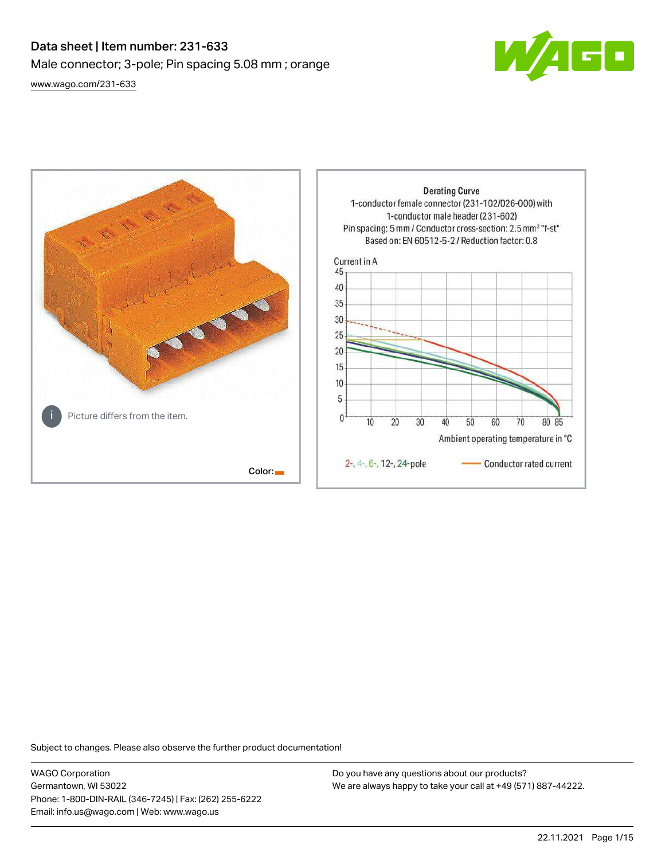# Data sheet | Item number: 231-633 Male connector; 3-pole; Pin spacing 5.08 mm ; orange [www.wago.com/231-633](http://www.wago.com/231-633)





Subject to changes. Please also observe the further product documentation!

WAGO Corporation Germantown, WI 53022 Phone: 1-800-DIN-RAIL (346-7245) | Fax: (262) 255-6222 Email: info.us@wago.com | Web: www.wago.us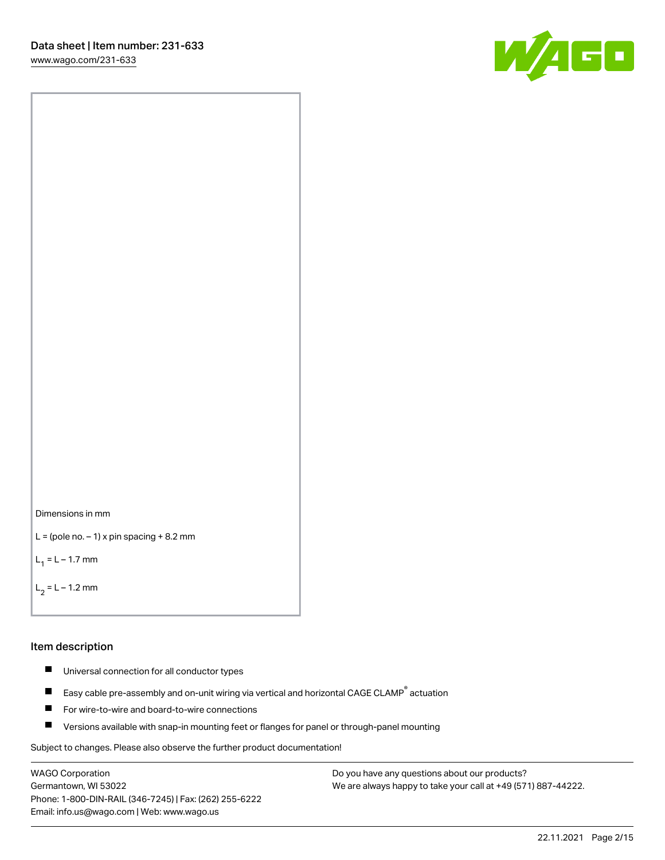[www.wago.com/231-633](http://www.wago.com/231-633)





```
L = (pole no. -1) x pin spacing +8.2 mm
```
 $L_1 = L - 1.7$  mm

```
L_2 = L - 1.2 mm
```
#### Item description

- $\blacksquare$ Universal connection for all conductor types
- Easy cable pre-assembly and on-unit wiring via vertical and horizontal CAGE CLAMP<sup>®</sup> actuation  $\blacksquare$
- $\blacksquare$ For wire-to-wire and board-to-wire connections
- $\blacksquare$ Versions available with snap-in mounting feet or flanges for panel or through-panel mounting

Subject to changes. Please also observe the further product documentation!

WAGO Corporation Germantown, WI 53022 Phone: 1-800-DIN-RAIL (346-7245) | Fax: (262) 255-6222 Email: info.us@wago.com | Web: www.wago.us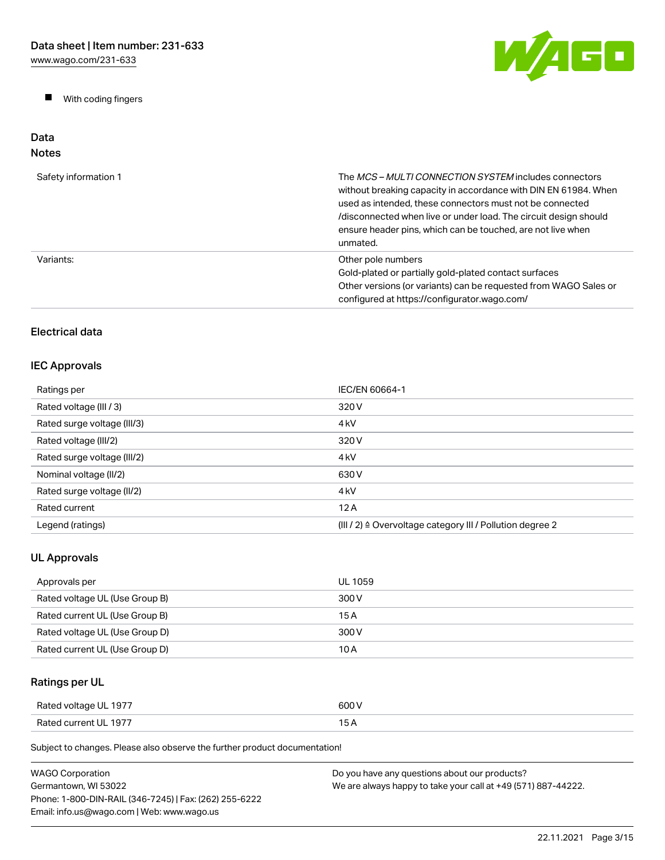$\blacksquare$ With coding fingers



#### Data Notes

| Safety information 1 | The MCS-MULTI CONNECTION SYSTEM includes connectors<br>without breaking capacity in accordance with DIN EN 61984. When<br>used as intended, these connectors must not be connected<br>/disconnected when live or under load. The circuit design should<br>ensure header pins, which can be touched, are not live when<br>unmated. |
|----------------------|-----------------------------------------------------------------------------------------------------------------------------------------------------------------------------------------------------------------------------------------------------------------------------------------------------------------------------------|
| Variants:            | Other pole numbers<br>Gold-plated or partially gold-plated contact surfaces<br>Other versions (or variants) can be requested from WAGO Sales or<br>configured at https://configurator.wago.com/                                                                                                                                   |

# Electrical data

# IEC Approvals

| Ratings per                 | IEC/EN 60664-1                                                       |
|-----------------------------|----------------------------------------------------------------------|
| Rated voltage (III / 3)     | 320 V                                                                |
| Rated surge voltage (III/3) | 4 <sub>kV</sub>                                                      |
| Rated voltage (III/2)       | 320 V                                                                |
| Rated surge voltage (III/2) | 4 <sub>k</sub> V                                                     |
| Nominal voltage (II/2)      | 630 V                                                                |
| Rated surge voltage (II/2)  | 4 <sub>k</sub> V                                                     |
| Rated current               | 12A                                                                  |
| Legend (ratings)            | (III / 2) $\triangleq$ Overvoltage category III / Pollution degree 2 |

# UL Approvals

| Approvals per                  | UL 1059 |
|--------------------------------|---------|
| Rated voltage UL (Use Group B) | 300 V   |
| Rated current UL (Use Group B) | 15 A    |
| Rated voltage UL (Use Group D) | 300 V   |
| Rated current UL (Use Group D) | 10 A    |

# Ratings per UL

| Rated voltage UL 1977 | 600 V |
|-----------------------|-------|
| Rated current UL 1977 | . .   |

Subject to changes. Please also observe the further product documentation!

| WAGO Corporation                                       | Do you have any questions about our products?                 |
|--------------------------------------------------------|---------------------------------------------------------------|
| Germantown, WI 53022                                   | We are always happy to take your call at +49 (571) 887-44222. |
| Phone: 1-800-DIN-RAIL (346-7245)   Fax: (262) 255-6222 |                                                               |
| Email: info.us@wago.com   Web: www.wago.us             |                                                               |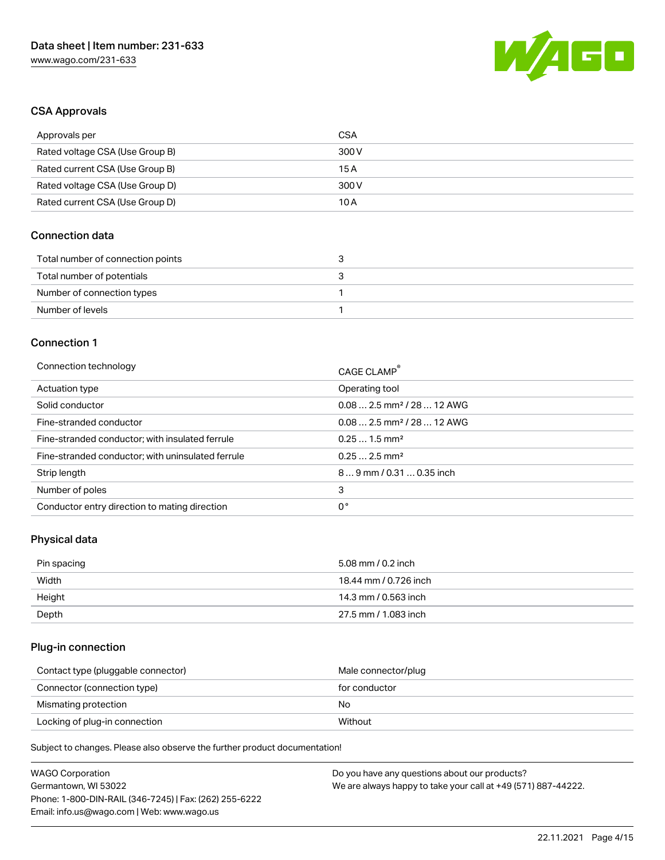

## CSA Approvals

| Approvals per                   | CSA   |
|---------------------------------|-------|
| Rated voltage CSA (Use Group B) | 300 V |
| Rated current CSA (Use Group B) | 15 A  |
| Rated voltage CSA (Use Group D) | 300 V |
| Rated current CSA (Use Group D) | 10 A  |

### Connection data

| Total number of connection points |  |
|-----------------------------------|--|
| Total number of potentials        |  |
| Number of connection types        |  |
| Number of levels                  |  |

#### Connection 1

| Connection technology                             | CAGE CLAMP®                            |
|---------------------------------------------------|----------------------------------------|
| Actuation type                                    | Operating tool                         |
| Solid conductor                                   | $0.082.5$ mm <sup>2</sup> / 28  12 AWG |
| Fine-stranded conductor                           | $0.082.5$ mm <sup>2</sup> / 28  12 AWG |
| Fine-stranded conductor; with insulated ferrule   | $0.251.5$ mm <sup>2</sup>              |
| Fine-stranded conductor; with uninsulated ferrule | $0.252.5$ mm <sup>2</sup>              |
| Strip length                                      | $89$ mm / 0.31  0.35 inch              |
| Number of poles                                   | 3                                      |
| Conductor entry direction to mating direction     | 0°                                     |

# Physical data

| Pin spacing | 5.08 mm / 0.2 inch    |
|-------------|-----------------------|
| Width       | 18.44 mm / 0.726 inch |
| Height      | 14.3 mm / 0.563 inch  |
| Depth       | 27.5 mm / 1.083 inch  |

### Plug-in connection

| Contact type (pluggable connector) | Male connector/plug |
|------------------------------------|---------------------|
| Connector (connection type)        | for conductor       |
| Mismating protection               | No                  |
| Locking of plug-in connection      | Without             |

Subject to changes. Please also observe the further product documentation!

| <b>WAGO Corporation</b>                                | Do you have any questions about our products?                 |
|--------------------------------------------------------|---------------------------------------------------------------|
| Germantown, WI 53022                                   | We are always happy to take your call at +49 (571) 887-44222. |
| Phone: 1-800-DIN-RAIL (346-7245)   Fax: (262) 255-6222 |                                                               |
| Email: info.us@wago.com   Web: www.wago.us             |                                                               |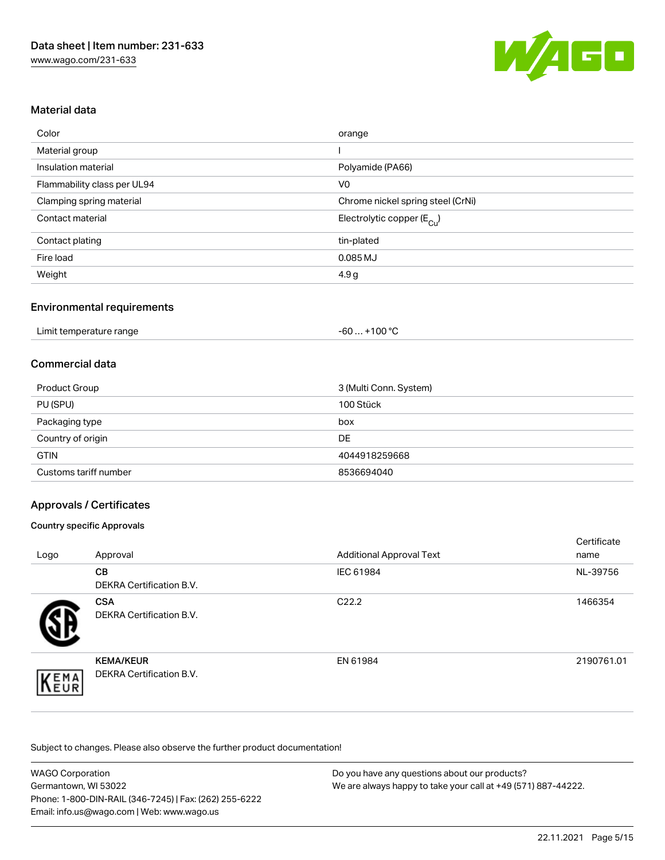

## Material data

| Color                       | orange                                |
|-----------------------------|---------------------------------------|
| Material group              |                                       |
| Insulation material         | Polyamide (PA66)                      |
| Flammability class per UL94 | V <sub>0</sub>                        |
| Clamping spring material    | Chrome nickel spring steel (CrNi)     |
| Contact material            | Electrolytic copper $(E_{\text{Cl}})$ |
| Contact plating             | tin-plated                            |
| Fire load                   | 0.085 MJ                              |
| Weight                      | 4.9 g                                 |

### Environmental requirements

### Commercial data

| <b>Product Group</b>  | 3 (Multi Conn. System) |
|-----------------------|------------------------|
| PU (SPU)              | 100 Stück              |
| Packaging type        | box                    |
| Country of origin     | <b>DE</b>              |
| <b>GTIN</b>           | 4044918259668          |
| Customs tariff number | 8536694040             |

### Approvals / Certificates

#### Country specific Approvals

| Logo | Approval                                            | <b>Additional Approval Text</b> | Certificate<br>name |
|------|-----------------------------------------------------|---------------------------------|---------------------|
|      | <b>CB</b><br><b>DEKRA Certification B.V.</b>        | IEC 61984                       | NL-39756            |
|      | <b>CSA</b><br><b>DEKRA Certification B.V.</b>       | C <sub>22.2</sub>               | 1466354             |
| EMA  | <b>KEMA/KEUR</b><br><b>DEKRA Certification B.V.</b> | EN 61984                        | 2190761.01          |

Subject to changes. Please also observe the further product documentation!

| <b>WAGO Corporation</b>                                | Do you have any questions about our products?                 |
|--------------------------------------------------------|---------------------------------------------------------------|
| Germantown, WI 53022                                   | We are always happy to take your call at +49 (571) 887-44222. |
| Phone: 1-800-DIN-RAIL (346-7245)   Fax: (262) 255-6222 |                                                               |
| Email: info.us@wago.com   Web: www.wago.us             |                                                               |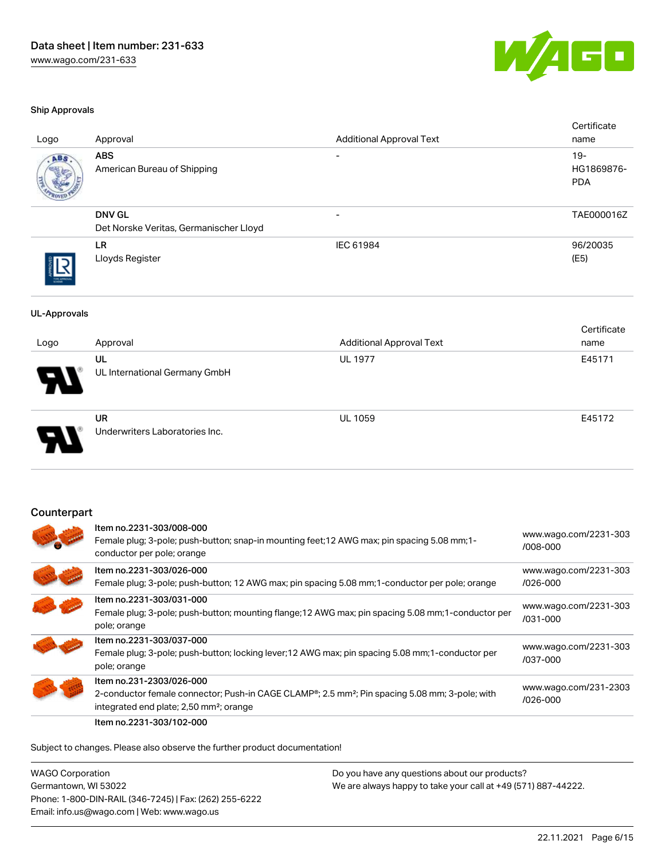

#### Ship Approvals

| Logo                | Approval                                                                                                                                               | <b>Additional Approval Text</b>                                                                            | Certificate<br>name               |
|---------------------|--------------------------------------------------------------------------------------------------------------------------------------------------------|------------------------------------------------------------------------------------------------------------|-----------------------------------|
|                     | <b>ABS</b><br>American Bureau of Shipping                                                                                                              |                                                                                                            | $19-$<br>HG1869876-<br><b>PDA</b> |
|                     | <b>DNV GL</b><br>Det Norske Veritas, Germanischer Lloyd                                                                                                | $\overline{\phantom{a}}$                                                                                   | TAE000016Z                        |
|                     | <b>LR</b><br>Lloyds Register                                                                                                                           | IEC 61984                                                                                                  | 96/20035<br>(E5)                  |
| <b>UL-Approvals</b> |                                                                                                                                                        |                                                                                                            |                                   |
| Logo                | Approval                                                                                                                                               | <b>Additional Approval Text</b>                                                                            | Certificate<br>name               |
|                     | UL<br>UL International Germany GmbH                                                                                                                    | <b>UL 1977</b>                                                                                             | E45171                            |
|                     | <b>UR</b><br>Underwriters Laboratories Inc.                                                                                                            | <b>UL 1059</b>                                                                                             | E45172                            |
| Counterpart         |                                                                                                                                                        |                                                                                                            |                                   |
|                     | Item no.2231-303/008-000<br>Female plug; 3-pole; push-button; snap-in mounting feet; 12 AWG max; pin spacing 5.08 mm; 1-<br>conductor per pole; orange |                                                                                                            | www.wago.com/2231-303<br>/008-000 |
|                     | Item no.2231-303/026-000                                                                                                                               | Female plug; 3-pole; push-button; 12 AWG max; pin spacing 5.08 mm; 1-conductor per pole; orange            | www.wago.com/2231-303<br>/026-000 |
|                     | Item no.2231-303/031-000<br>pole; orange                                                                                                               | Female plug; 3-pole; push-button; mounting flange; 12 AWG max; pin spacing 5.08 mm; 1-conductor per        | www.wago.com/2231-303<br>/031-000 |
|                     | Item no.2231-303/037-000<br>pole; orange                                                                                                               | Female plug; 3-pole; push-button; locking lever; 12 AWG max; pin spacing 5.08 mm; 1-conductor per          | www.wago.com/2231-303<br>/037-000 |
|                     | Item no.231-2303/026-000<br>integrated end plate; 2,50 mm <sup>2</sup> ; orange                                                                        | 2-conductor female connector; Push-in CAGE CLAMP®; 2.5 mm <sup>2</sup> ; Pin spacing 5.08 mm; 3-pole; with | www.wago.com/231-2303<br>/026-000 |

Subject to changes. Please also observe the further product documentation!

Item no.2231-303/102-000

WAGO Corporation Germantown, WI 53022 Phone: 1-800-DIN-RAIL (346-7245) | Fax: (262) 255-6222 Email: info.us@wago.com | Web: www.wago.us Do you have any questions about our products? We are always happy to take your call at +49 (571) 887-44222.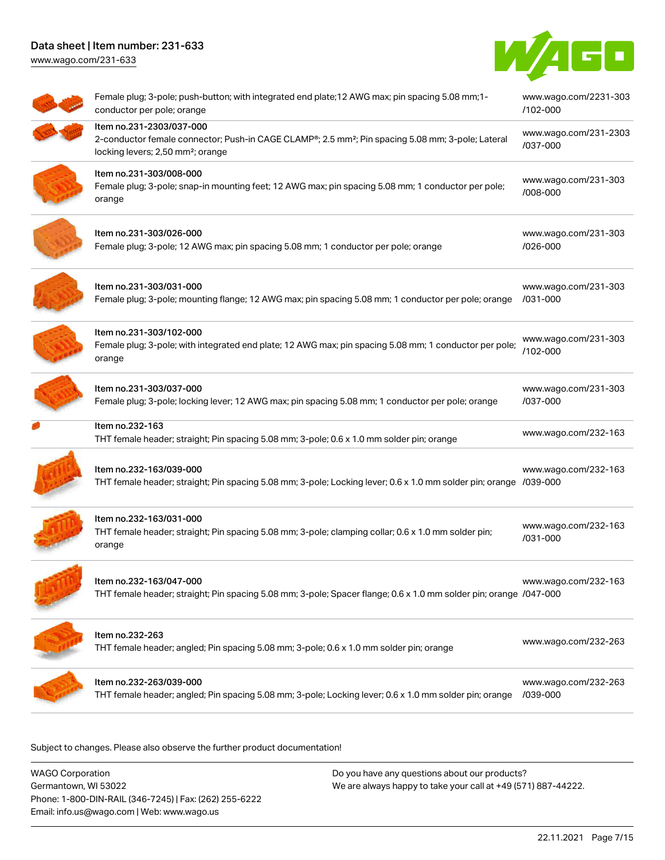# Data sheet | Item number: 231-633 [www.wago.com/231-633](http://www.wago.com/231-633)



| Female plug; 3-pole; push-button; with integrated end plate; 12 AWG max; pin spacing 5.08 mm; 1-<br>conductor per pole; orange                                                             | www.wago.com/2231-303<br>/102-000                                                                                                                                                                                                      |
|--------------------------------------------------------------------------------------------------------------------------------------------------------------------------------------------|----------------------------------------------------------------------------------------------------------------------------------------------------------------------------------------------------------------------------------------|
| Item no.231-2303/037-000<br>2-conductor female connector; Push-in CAGE CLAMP®; 2.5 mm <sup>2</sup> ; Pin spacing 5.08 mm; 3-pole; Lateral<br>locking levers; 2,50 mm <sup>2</sup> ; orange | www.wago.com/231-2303<br>/037-000                                                                                                                                                                                                      |
| Item no.231-303/008-000<br>Female plug; 3-pole; snap-in mounting feet; 12 AWG max; pin spacing 5.08 mm; 1 conductor per pole;<br>orange                                                    | www.wago.com/231-303<br>/008-000                                                                                                                                                                                                       |
| Item no.231-303/026-000<br>Female plug; 3-pole; 12 AWG max; pin spacing 5.08 mm; 1 conductor per pole; orange                                                                              | www.wago.com/231-303<br>/026-000                                                                                                                                                                                                       |
| Item no.231-303/031-000<br>Female plug; 3-pole; mounting flange; 12 AWG max; pin spacing 5.08 mm; 1 conductor per pole; orange                                                             | www.wago.com/231-303<br>/031-000                                                                                                                                                                                                       |
| Item no.231-303/102-000<br>Female plug; 3-pole; with integrated end plate; 12 AWG max; pin spacing 5.08 mm; 1 conductor per pole;<br>orange                                                | www.wago.com/231-303<br>/102-000                                                                                                                                                                                                       |
| Item no.231-303/037-000<br>Female plug; 3-pole; locking lever; 12 AWG max; pin spacing 5.08 mm; 1 conductor per pole; orange                                                               | www.wago.com/231-303<br>/037-000                                                                                                                                                                                                       |
| Item no.232-163<br>THT female header; straight; Pin spacing 5.08 mm; 3-pole; 0.6 x 1.0 mm solder pin; orange                                                                               | www.wago.com/232-163                                                                                                                                                                                                                   |
| Item no.232-163/039-000                                                                                                                                                                    | www.wago.com/232-163                                                                                                                                                                                                                   |
| Item no.232-163/031-000<br>THT female header; straight; Pin spacing 5.08 mm; 3-pole; clamping collar; 0.6 x 1.0 mm solder pin;<br>orange                                                   | www.wago.com/232-163<br>/031-000                                                                                                                                                                                                       |
| Item no.232-163/047-000                                                                                                                                                                    | www.wago.com/232-163                                                                                                                                                                                                                   |
| Item no.232-263<br>THT female header; angled; Pin spacing 5.08 mm; 3-pole; 0.6 x 1.0 mm solder pin; orange                                                                                 | www.wago.com/232-263                                                                                                                                                                                                                   |
| Item no.232-263/039-000<br>THT female header; angled; Pin spacing 5.08 mm; 3-pole; Locking lever; 0.6 x 1.0 mm solder pin; orange                                                          | www.wago.com/232-263<br>/039-000                                                                                                                                                                                                       |
|                                                                                                                                                                                            | THT female header; straight; Pin spacing 5.08 mm; 3-pole; Locking lever; 0.6 x 1.0 mm solder pin; orange /039-000<br>THT female header; straight; Pin spacing 5.08 mm; 3-pole; Spacer flange; 0.6 x 1.0 mm solder pin; orange /047-000 |

Subject to changes. Please also observe the further product documentation!

WAGO Corporation Germantown, WI 53022 Phone: 1-800-DIN-RAIL (346-7245) | Fax: (262) 255-6222 Email: info.us@wago.com | Web: www.wago.us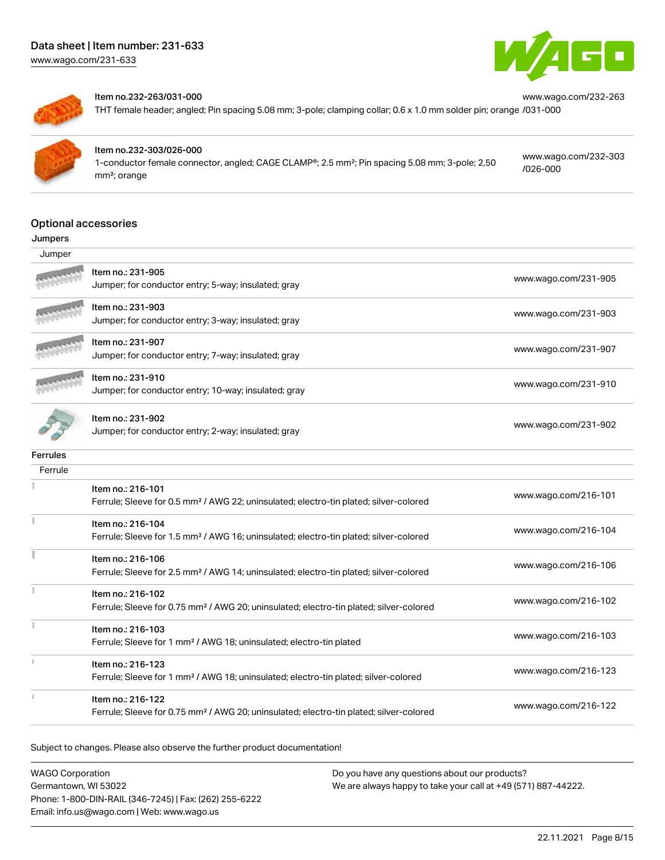[www.wago.com/231-633](http://www.wago.com/231-633)





#### Item no.232-263/031-000

THT female header; angled; Pin spacing 5.08 mm; 3-pole; clamping collar; 0.6 x 1.0 mm solder pin; orange [/031-000](https://www.wago.com/232-263/031-000)



### Item no.232-303/026-000

1-conductor female connector, angled; CAGE CLAMP®; 2.5 mm²; Pin spacing 5.08 mm; 3-pole; 2,50 mm²; orange

[www.wago.com/232-303](https://www.wago.com/232-303/026-000) [/026-000](https://www.wago.com/232-303/026-000)

[www.wago.com/232-263](https://www.wago.com/232-263/031-000)

#### Optional accessories

#### Jumpers

| Jumper          |                                                                                                                         |                      |
|-----------------|-------------------------------------------------------------------------------------------------------------------------|----------------------|
|                 | Item no.: 231-905<br>Jumper; for conductor entry; 5-way; insulated; gray                                                | www.wago.com/231-905 |
|                 | Item no.: 231-903<br>Jumper; for conductor entry; 3-way; insulated; gray                                                | www.wago.com/231-903 |
|                 | Item no.: 231-907<br>Jumper; for conductor entry; 7-way; insulated; gray                                                | www.wago.com/231-907 |
|                 | Item no.: 231-910<br>Jumper; for conductor entry; 10-way; insulated; gray                                               | www.wago.com/231-910 |
|                 | Item no.: 231-902<br>Jumper; for conductor entry; 2-way; insulated; gray                                                | www.wago.com/231-902 |
| <b>Ferrules</b> |                                                                                                                         |                      |
| Ferrule         |                                                                                                                         |                      |
|                 | Item no.: 216-101<br>Ferrule; Sleeve for 0.5 mm <sup>2</sup> / AWG 22; uninsulated; electro-tin plated; silver-colored  | www.wago.com/216-101 |
|                 | Item no.: 216-104<br>Ferrule; Sleeve for 1.5 mm <sup>2</sup> / AWG 16; uninsulated; electro-tin plated; silver-colored  | www.wago.com/216-104 |
|                 | Item no.: 216-106<br>Ferrule; Sleeve for 2.5 mm <sup>2</sup> / AWG 14; uninsulated; electro-tin plated; silver-colored  | www.wago.com/216-106 |
|                 | Item no.: 216-102<br>Ferrule; Sleeve for 0.75 mm <sup>2</sup> / AWG 20; uninsulated; electro-tin plated; silver-colored | www.wago.com/216-102 |
|                 | Item no.: 216-103<br>Ferrule; Sleeve for 1 mm <sup>2</sup> / AWG 18; uninsulated; electro-tin plated                    | www.wago.com/216-103 |
|                 | Item no.: 216-123<br>Ferrule; Sleeve for 1 mm <sup>2</sup> / AWG 18; uninsulated; electro-tin plated; silver-colored    | www.wago.com/216-123 |
|                 | Item no.: 216-122<br>Ferrule; Sleeve for 0.75 mm <sup>2</sup> / AWG 20; uninsulated; electro-tin plated; silver-colored | www.wago.com/216-122 |

Subject to changes. Please also observe the further product documentation!

WAGO Corporation Germantown, WI 53022 Phone: 1-800-DIN-RAIL (346-7245) | Fax: (262) 255-6222 Email: info.us@wago.com | Web: www.wago.us Do you have any questions about our products? We are always happy to take your call at +49 (571) 887-44222.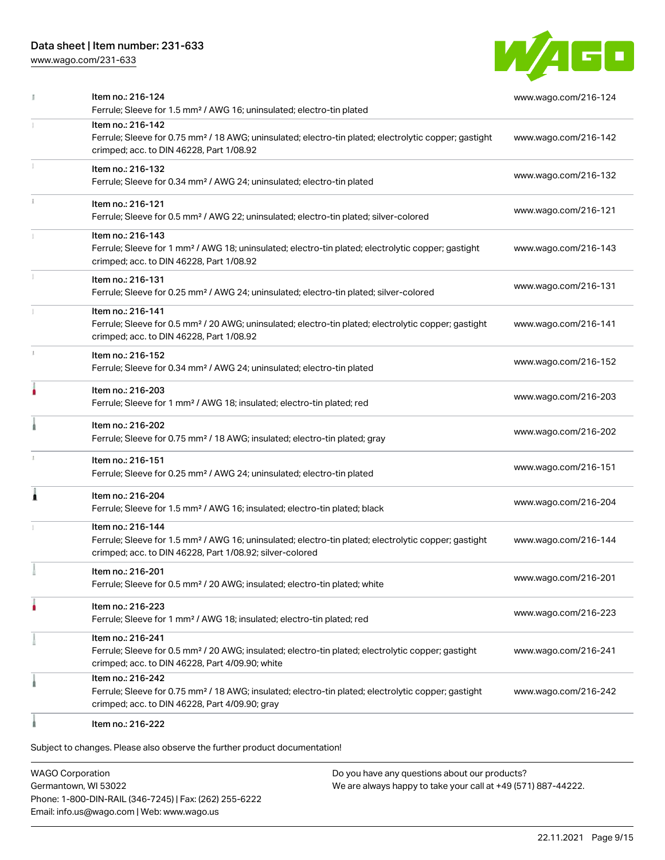[www.wago.com/231-633](http://www.wago.com/231-633)



|   | Item no.: 216-124<br>Ferrule; Sleeve for 1.5 mm <sup>2</sup> / AWG 16; uninsulated; electro-tin plated                                                                                            | www.wago.com/216-124 |
|---|---------------------------------------------------------------------------------------------------------------------------------------------------------------------------------------------------|----------------------|
|   | Item no.: 216-142<br>Ferrule; Sleeve for 0.75 mm <sup>2</sup> / 18 AWG; uninsulated; electro-tin plated; electrolytic copper; gastight<br>crimped; acc. to DIN 46228, Part 1/08.92                | www.wago.com/216-142 |
|   | Item no.: 216-132<br>Ferrule; Sleeve for 0.34 mm <sup>2</sup> / AWG 24; uninsulated; electro-tin plated                                                                                           | www.wago.com/216-132 |
|   | Item no.: 216-121<br>Ferrule; Sleeve for 0.5 mm <sup>2</sup> / AWG 22; uninsulated; electro-tin plated; silver-colored                                                                            | www.wago.com/216-121 |
|   | Item no.: 216-143<br>Ferrule; Sleeve for 1 mm <sup>2</sup> / AWG 18; uninsulated; electro-tin plated; electrolytic copper; gastight<br>crimped; acc. to DIN 46228, Part 1/08.92                   | www.wago.com/216-143 |
|   | Item no.: 216-131<br>Ferrule; Sleeve for 0.25 mm <sup>2</sup> / AWG 24; uninsulated; electro-tin plated; silver-colored                                                                           | www.wago.com/216-131 |
|   | Item no.: 216-141<br>Ferrule; Sleeve for 0.5 mm <sup>2</sup> / 20 AWG; uninsulated; electro-tin plated; electrolytic copper; gastight<br>crimped; acc. to DIN 46228, Part 1/08.92                 | www.wago.com/216-141 |
|   | Item no.: 216-152<br>Ferrule; Sleeve for 0.34 mm <sup>2</sup> / AWG 24; uninsulated; electro-tin plated                                                                                           | www.wago.com/216-152 |
|   | Item no.: 216-203<br>Ferrule; Sleeve for 1 mm <sup>2</sup> / AWG 18; insulated; electro-tin plated; red                                                                                           | www.wago.com/216-203 |
|   | Item no.: 216-202<br>Ferrule; Sleeve for 0.75 mm <sup>2</sup> / 18 AWG; insulated; electro-tin plated; gray                                                                                       | www.wago.com/216-202 |
| 1 | Item no.: 216-151<br>Ferrule; Sleeve for 0.25 mm <sup>2</sup> / AWG 24; uninsulated; electro-tin plated                                                                                           | www.wago.com/216-151 |
| 1 | Item no.: 216-204<br>Ferrule; Sleeve for 1.5 mm <sup>2</sup> / AWG 16; insulated; electro-tin plated; black                                                                                       | www.wago.com/216-204 |
|   | Item no.: 216-144<br>Ferrule; Sleeve for 1.5 mm <sup>2</sup> / AWG 16; uninsulated; electro-tin plated; electrolytic copper; gastight<br>crimped; acc. to DIN 46228, Part 1/08.92; silver-colored | www.wago.com/216-144 |
|   | Item no.: 216-201<br>Ferrule; Sleeve for 0.5 mm <sup>2</sup> / 20 AWG; insulated; electro-tin plated; white                                                                                       | www.wago.com/216-201 |
|   | Item no.: 216-223<br>Ferrule; Sleeve for 1 mm <sup>2</sup> / AWG 18; insulated; electro-tin plated; red                                                                                           | www.wago.com/216-223 |
|   | Item no.: 216-241<br>Ferrule; Sleeve for 0.5 mm <sup>2</sup> / 20 AWG; insulated; electro-tin plated; electrolytic copper; gastight<br>crimped; acc. to DIN 46228, Part 4/09.90; white            | www.wago.com/216-241 |
|   | Item no.: 216-242<br>Ferrule; Sleeve for 0.75 mm <sup>2</sup> / 18 AWG; insulated; electro-tin plated; electrolytic copper; gastight<br>crimped; acc. to DIN 46228, Part 4/09.90; gray            | www.wago.com/216-242 |
|   | Item no.: 216-222                                                                                                                                                                                 |                      |

Subject to changes. Please also observe the further product documentation!

WAGO Corporation Germantown, WI 53022 Phone: 1-800-DIN-RAIL (346-7245) | Fax: (262) 255-6222 Email: info.us@wago.com | Web: www.wago.us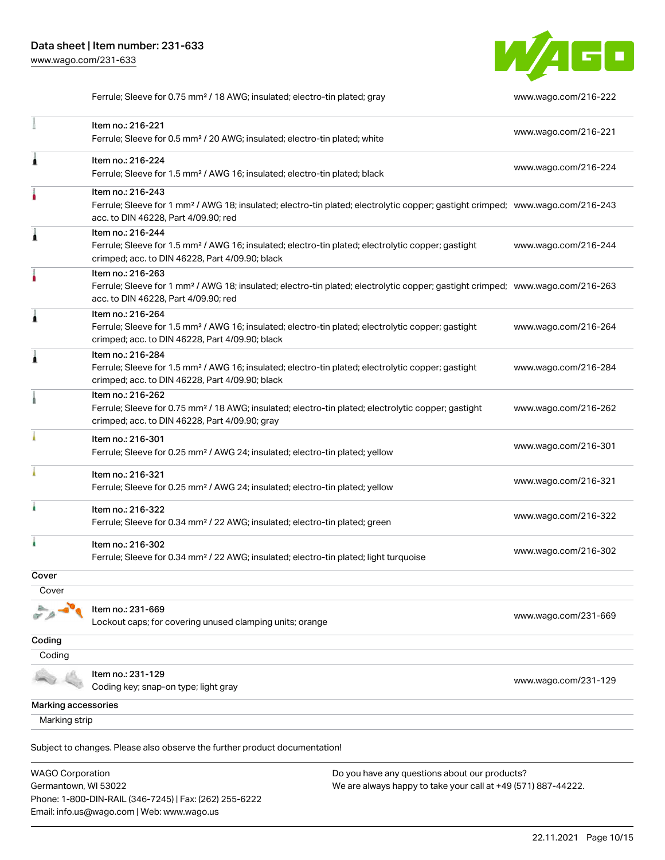Phone: 1-800-DIN-RAIL (346-7245) | Fax: (262) 255-6222

Email: info.us@wago.com | Web: www.wago.us



Ferrule; Sleeve for 0.75 mm<sup>2</sup> / 18 AWG; insulated; electro-tin plated; gray [www.wago.com/216-222](http://www.wago.com/216-222)

|                                                 | Item no.: 216-221<br>Ferrule; Sleeve for 0.5 mm <sup>2</sup> / 20 AWG; insulated; electro-tin plated; white                                                                                             |                                                                                                                | www.wago.com/216-221 |
|-------------------------------------------------|---------------------------------------------------------------------------------------------------------------------------------------------------------------------------------------------------------|----------------------------------------------------------------------------------------------------------------|----------------------|
|                                                 | Item no.: 216-224<br>Ferrule; Sleeve for 1.5 mm <sup>2</sup> / AWG 16; insulated; electro-tin plated; black                                                                                             |                                                                                                                | www.wago.com/216-224 |
|                                                 | Item no.: 216-243<br>Ferrule; Sleeve for 1 mm <sup>2</sup> / AWG 18; insulated; electro-tin plated; electrolytic copper; gastight crimped; www.wago.com/216-243<br>acc. to DIN 46228, Part 4/09.90; red |                                                                                                                |                      |
|                                                 | Item no.: 216-244<br>Ferrule; Sleeve for 1.5 mm <sup>2</sup> / AWG 16; insulated; electro-tin plated; electrolytic copper; gastight<br>crimped; acc. to DIN 46228, Part 4/09.90; black                  |                                                                                                                | www.wago.com/216-244 |
|                                                 | Item no.: 216-263<br>Ferrule; Sleeve for 1 mm <sup>2</sup> / AWG 18; insulated; electro-tin plated; electrolytic copper; gastight crimped; www.wago.com/216-263<br>acc. to DIN 46228, Part 4/09.90; red |                                                                                                                |                      |
|                                                 | Item no.: 216-264<br>Ferrule; Sleeve for 1.5 mm <sup>2</sup> / AWG 16; insulated; electro-tin plated; electrolytic copper; gastight<br>crimped; acc. to DIN 46228, Part 4/09.90; black                  |                                                                                                                | www.wago.com/216-264 |
|                                                 | Item no.: 216-284<br>Ferrule; Sleeve for 1.5 mm <sup>2</sup> / AWG 16; insulated; electro-tin plated; electrolytic copper; gastight<br>crimped; acc. to DIN 46228, Part 4/09.90; black                  |                                                                                                                | www.wago.com/216-284 |
|                                                 | Item no.: 216-262<br>Ferrule; Sleeve for 0.75 mm <sup>2</sup> / 18 AWG; insulated; electro-tin plated; electrolytic copper; gastight<br>crimped; acc. to DIN 46228, Part 4/09.90; gray                  |                                                                                                                | www.wago.com/216-262 |
|                                                 | Item no.: 216-301<br>Ferrule; Sleeve for 0.25 mm <sup>2</sup> / AWG 24; insulated; electro-tin plated; yellow                                                                                           |                                                                                                                | www.wago.com/216-301 |
|                                                 | Item no.: 216-321<br>Ferrule; Sleeve for 0.25 mm <sup>2</sup> / AWG 24; insulated; electro-tin plated; yellow                                                                                           |                                                                                                                | www.wago.com/216-321 |
|                                                 | Item no.: 216-322<br>Ferrule; Sleeve for 0.34 mm <sup>2</sup> / 22 AWG; insulated; electro-tin plated; green                                                                                            |                                                                                                                | www.wago.com/216-322 |
|                                                 | Item no.: 216-302<br>Ferrule; Sleeve for 0.34 mm <sup>2</sup> / 22 AWG; insulated; electro-tin plated; light turquoise                                                                                  |                                                                                                                | www.wago.com/216-302 |
| Cover                                           |                                                                                                                                                                                                         |                                                                                                                |                      |
| Cover                                           |                                                                                                                                                                                                         |                                                                                                                |                      |
|                                                 | Item no.: 231-669<br>Lockout caps; for covering unused clamping units; orange                                                                                                                           |                                                                                                                | www.wago.com/231-669 |
| Coding                                          |                                                                                                                                                                                                         |                                                                                                                |                      |
| Coding                                          |                                                                                                                                                                                                         |                                                                                                                |                      |
|                                                 | Item no.: 231-129<br>Coding key; snap-on type; light gray                                                                                                                                               |                                                                                                                | www.wago.com/231-129 |
| Marking accessories                             |                                                                                                                                                                                                         |                                                                                                                |                      |
| Marking strip                                   |                                                                                                                                                                                                         |                                                                                                                |                      |
|                                                 | Subject to changes. Please also observe the further product documentation!                                                                                                                              |                                                                                                                |                      |
| <b>WAGO Corporation</b><br>Germantown, WI 53022 |                                                                                                                                                                                                         | Do you have any questions about our products?<br>We are always happy to take your call at +49 (571) 887-44222. |                      |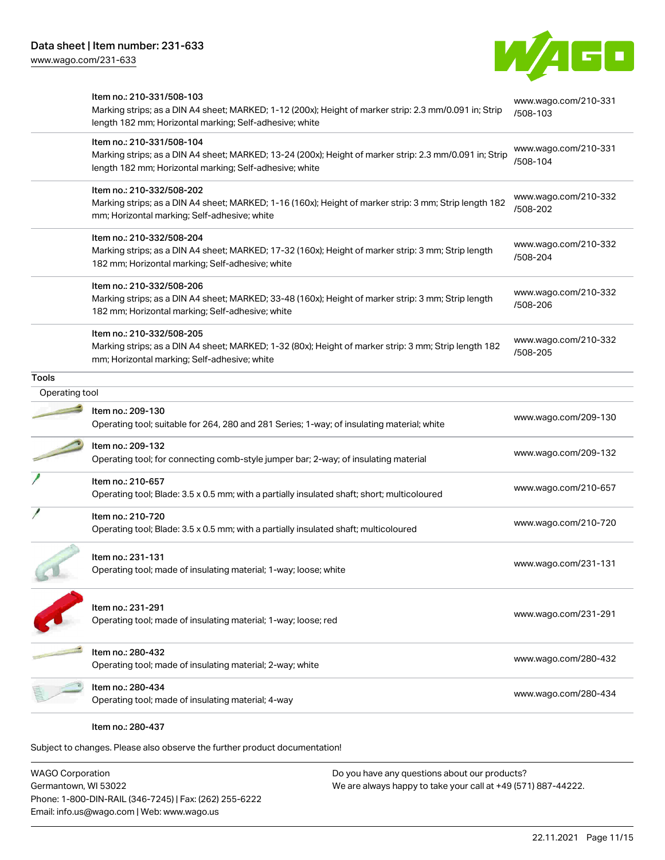

|                | Item no.: 210-331/508-103                                                                                                                                          | www.wago.com/210-331 |
|----------------|--------------------------------------------------------------------------------------------------------------------------------------------------------------------|----------------------|
|                | Marking strips; as a DIN A4 sheet; MARKED; 1-12 (200x); Height of marker strip: 2.3 mm/0.091 in; Strip<br>length 182 mm; Horizontal marking; Self-adhesive; white  | /508-103             |
|                | Item no.: 210-331/508-104                                                                                                                                          | www.wago.com/210-331 |
|                | Marking strips; as a DIN A4 sheet; MARKED; 13-24 (200x); Height of marker strip: 2.3 mm/0.091 in; Strip<br>length 182 mm; Horizontal marking; Self-adhesive; white | /508-104             |
|                | Item no.: 210-332/508-202                                                                                                                                          | www.wago.com/210-332 |
|                | Marking strips; as a DIN A4 sheet; MARKED; 1-16 (160x); Height of marker strip: 3 mm; Strip length 182<br>mm; Horizontal marking; Self-adhesive; white             | /508-202             |
|                | Item no.: 210-332/508-204                                                                                                                                          | www.wago.com/210-332 |
|                | Marking strips; as a DIN A4 sheet; MARKED; 17-32 (160x); Height of marker strip: 3 mm; Strip length<br>182 mm; Horizontal marking; Self-adhesive; white            | /508-204             |
|                | Item no.: 210-332/508-206                                                                                                                                          | www.wago.com/210-332 |
|                | Marking strips; as a DIN A4 sheet; MARKED; 33-48 (160x); Height of marker strip: 3 mm; Strip length<br>182 mm; Horizontal marking; Self-adhesive; white            | /508-206             |
|                | Item no.: 210-332/508-205                                                                                                                                          | www.wago.com/210-332 |
|                | Marking strips; as a DIN A4 sheet; MARKED; 1-32 (80x); Height of marker strip: 3 mm; Strip length 182<br>mm; Horizontal marking; Self-adhesive; white              | /508-205             |
| <b>Tools</b>   |                                                                                                                                                                    |                      |
| Operating tool |                                                                                                                                                                    |                      |
|                | Item no.: 209-130<br>Operating tool; suitable for 264, 280 and 281 Series; 1-way; of insulating material; white                                                    | www.wago.com/209-130 |
|                | Item no.: 209-132<br>Operating tool; for connecting comb-style jumper bar; 2-way; of insulating material                                                           | www.wago.com/209-132 |
|                | Item no.: 210-657                                                                                                                                                  |                      |
|                | Operating tool; Blade: 3.5 x 0.5 mm; with a partially insulated shaft; short; multicoloured                                                                        | www.wago.com/210-657 |
|                | Item no.: 210-720                                                                                                                                                  |                      |
|                | Operating tool; Blade: 3.5 x 0.5 mm; with a partially insulated shaft; multicoloured                                                                               | www.wago.com/210-720 |
|                | Item no.: 231-131                                                                                                                                                  |                      |
|                | Operating tool; made of insulating material; 1-way; loose; white                                                                                                   | www.wago.com/231-131 |
|                | Item no.: 231-291                                                                                                                                                  |                      |
|                | Operating tool; made of insulating material; 1-way; loose; red                                                                                                     | www.wago.com/231-291 |
|                | Item no.: 280-432                                                                                                                                                  | www.wago.com/280-432 |
|                | Operating tool; made of insulating material; 2-way; white                                                                                                          |                      |
|                |                                                                                                                                                                    |                      |
|                | Item no.: 280-434<br>Operating tool; made of insulating material; 4-way                                                                                            | www.wago.com/280-434 |

WAGO Corporation Germantown, WI 53022 Phone: 1-800-DIN-RAIL (346-7245) | Fax: (262) 255-6222 Email: info.us@wago.com | Web: www.wago.us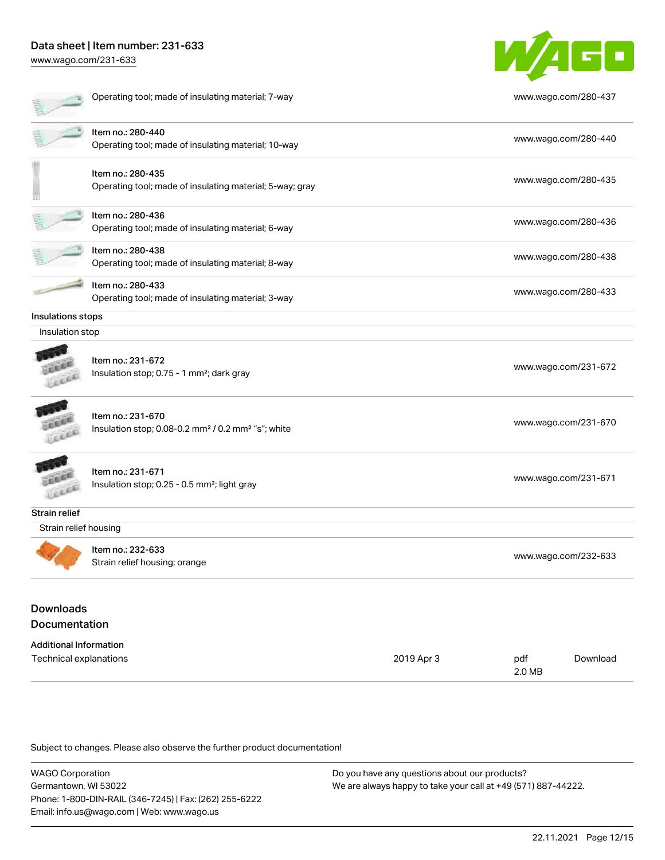[www.wago.com/231-633](http://www.wago.com/231-633)

|                               | Operating tool; made of insulating material; 7-way                                              |            |     | www.wago.com/280-437 |
|-------------------------------|-------------------------------------------------------------------------------------------------|------------|-----|----------------------|
|                               | Item no.: 280-440<br>Operating tool; made of insulating material; 10-way                        |            |     | www.wago.com/280-440 |
|                               | Item no.: 280-435<br>Operating tool; made of insulating material; 5-way; gray                   |            |     | www.wago.com/280-435 |
|                               | Item no.: 280-436<br>Operating tool; made of insulating material; 6-way                         |            |     | www.wago.com/280-436 |
|                               | Item no.: 280-438<br>Operating tool; made of insulating material; 8-way                         |            |     | www.wago.com/280-438 |
|                               | Item no.: 280-433<br>Operating tool; made of insulating material; 3-way                         |            |     | www.wago.com/280-433 |
| Insulations stops             |                                                                                                 |            |     |                      |
| Insulation stop               |                                                                                                 |            |     |                      |
|                               | Item no.: 231-672<br>Insulation stop; 0.75 - 1 mm <sup>2</sup> ; dark gray                      |            |     | www.wago.com/231-672 |
|                               | Item no.: 231-670<br>Insulation stop; 0.08-0.2 mm <sup>2</sup> / 0.2 mm <sup>2</sup> "s"; white |            |     | www.wago.com/231-670 |
|                               | Item no.: 231-671<br>Insulation stop; 0.25 - 0.5 mm <sup>2</sup> ; light gray                   |            |     | www.wago.com/231-671 |
| <b>Strain relief</b>          |                                                                                                 |            |     |                      |
| Strain relief housing         |                                                                                                 |            |     |                      |
|                               | Item no.: 232-633<br>Strain relief housing; orange                                              |            |     | www.wago.com/232-633 |
| <b>Downloads</b>              |                                                                                                 |            |     |                      |
| <b>Documentation</b>          |                                                                                                 |            |     |                      |
| <b>Additional Information</b> |                                                                                                 |            |     |                      |
| Technical explanations        |                                                                                                 | 2019 Apr 3 | pdf | Download             |

Subject to changes. Please also observe the further product documentation!

WAGO Corporation Germantown, WI 53022 Phone: 1-800-DIN-RAIL (346-7245) | Fax: (262) 255-6222 Email: info.us@wago.com | Web: www.wago.us Do you have any questions about our products? We are always happy to take your call at +49 (571) 887-44222.

2.0 MB

W/4GD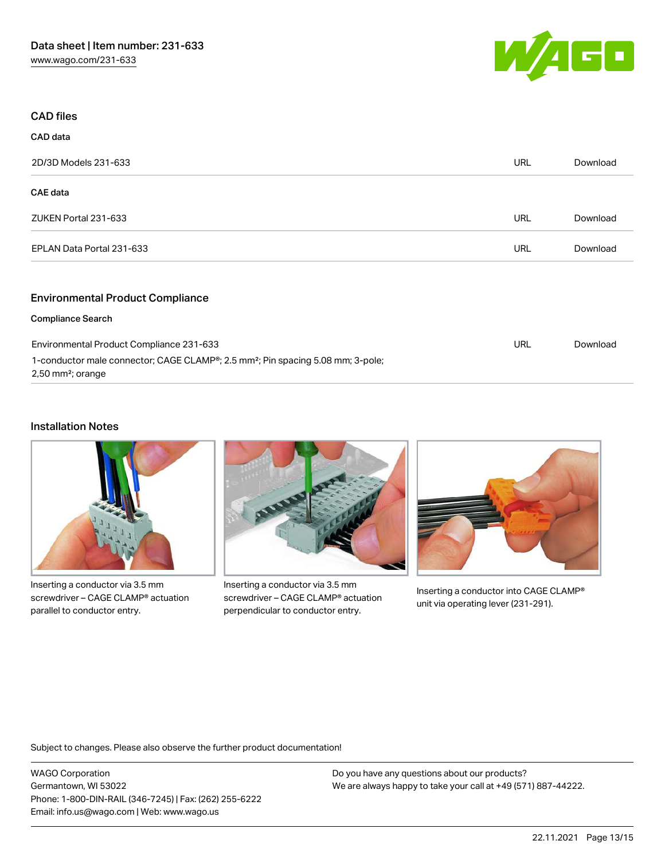

| <b>CAD files</b>                        |            |          |
|-----------------------------------------|------------|----------|
| <b>CAD</b> data                         |            |          |
| 2D/3D Models 231-633                    | <b>URL</b> | Download |
| <b>CAE</b> data                         |            |          |
| ZUKEN Portal 231-633                    | <b>URL</b> | Download |
| EPLAN Data Portal 231-633               | <b>URL</b> | Download |
| <b>Environmental Product Compliance</b> |            |          |

#### Compliance Search

| Environmental Product Compliance 231-633                                                                                                  | URL | Download |
|-------------------------------------------------------------------------------------------------------------------------------------------|-----|----------|
| 1-conductor male connector; CAGE CLAMP <sup>®</sup> ; 2.5 mm <sup>2</sup> ; Pin spacing 5.08 mm; 3-pole;<br>2,50 mm <sup>2</sup> ; orange |     |          |

### Installation Notes



Inserting a conductor via 3.5 mm screwdriver – CAGE CLAMP® actuation parallel to conductor entry.



Inserting a conductor via 3.5 mm screwdriver – CAGE CLAMP® actuation perpendicular to conductor entry.



Inserting a conductor into CAGE CLAMP® unit via operating lever (231-291).

Subject to changes. Please also observe the further product documentation!

WAGO Corporation Germantown, WI 53022 Phone: 1-800-DIN-RAIL (346-7245) | Fax: (262) 255-6222 Email: info.us@wago.com | Web: www.wago.us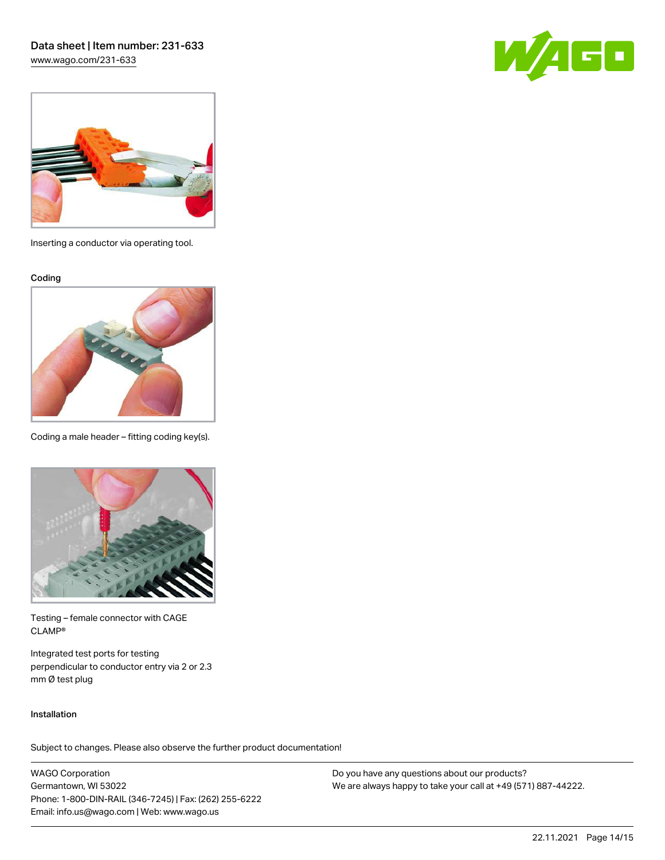[www.wago.com/231-633](http://www.wago.com/231-633)





Inserting a conductor via operating tool.

Coding



Coding a male header – fitting coding key(s).



Testing – female connector with CAGE CLAMP®

Integrated test ports for testing perpendicular to conductor entry via 2 or 2.3 mm Ø test plug

#### Installation

Subject to changes. Please also observe the further product documentation!

WAGO Corporation Germantown, WI 53022 Phone: 1-800-DIN-RAIL (346-7245) | Fax: (262) 255-6222 Email: info.us@wago.com | Web: www.wago.us